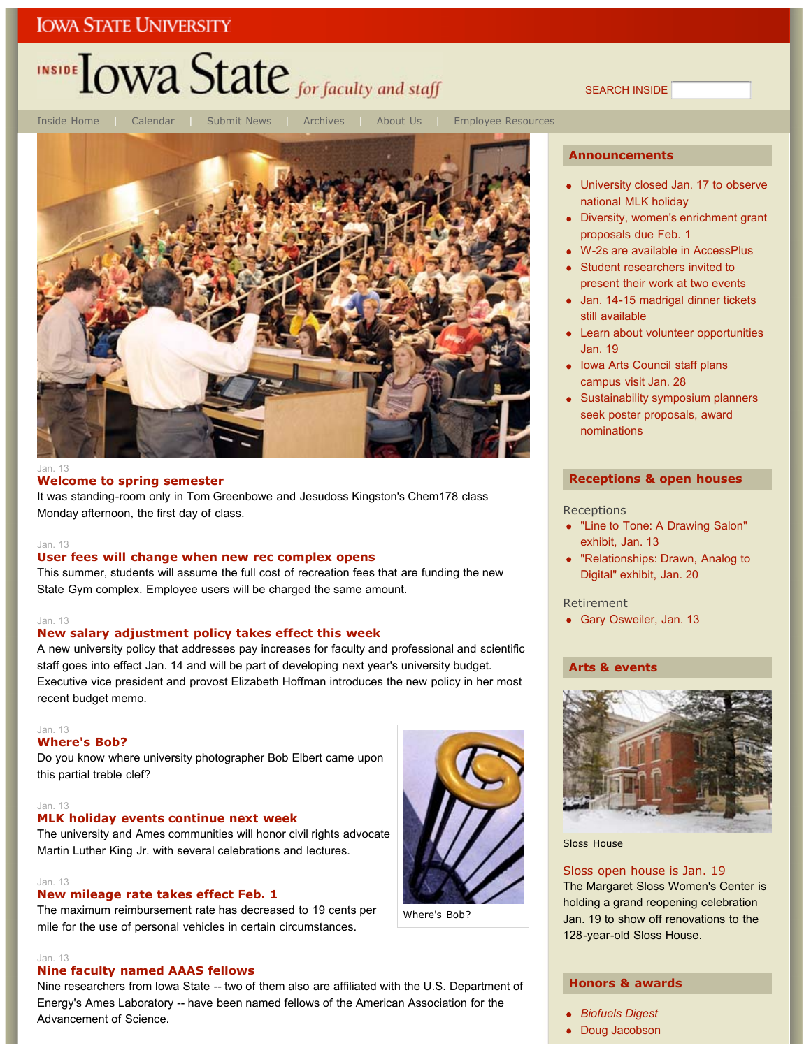# INSIDE **LOWA State** for faculty and staff

SEARCH INSIDE



Inside Home | Calendar | Submit News | Archives | About Us | Employee Resources

Where's Bob?

#### Jan. 13

#### **Welcome to spring semester**

It was standing-room only in Tom Greenbowe and Jesudoss Kingston's Chem178 class Monday afternoon, the first day of class.

#### Jan. 13

#### **User fees will change when new rec complex opens**

This summer, students will assume the full cost of recreation fees that are funding the new State Gym complex. Employee users will be charged the same amount.

#### Jan. 13

#### **New salary adjustment policy takes effect this week**

A new university policy that addresses pay increases for faculty and professional and scientific staff goes into effect Jan. 14 and will be part of developing next year's university budget. Executive vice president and provost Elizabeth Hoffman introduces the new policy in her most recent budget memo.

#### Jan. 13

### **Where's Bob?**

Do you know where university photographer Bob Elbert came upon this partial treble clef?

#### Jan. 13

### **MLK holiday events continue next week**

The university and Ames communities will honor civil rights advocate Martin Luther King Jr. with several celebrations and lectures.

#### Jan. 13

### **New mileage rate takes effect Feb. 1**

The maximum reimbursement rate has decreased to 19 cents per mile for the use of personal vehicles in certain circumstances.

#### Jan. 13

### **Nine faculty named AAAS fellows**

Nine researchers from Iowa State -- two of them also are affiliated with the U.S. Department of Energy's Ames Laboratory -- have been named fellows of the American Association for the Advancement of Science.



- University closed Jan. 17 to observe national MLK holiday
- Diversity, women's enrichment grant proposals due Feb. 1
- W-2s are available in AccessPlus
- Student researchers invited to present their work at two events
- Jan. 14-15 madrigal dinner tickets still available
- Learn about volunteer opportunities Jan. 19
- Iowa Arts Council staff plans campus visit Jan. 28
- Sustainability symposium planners seek poster proposals, award nominations

#### **Receptions & open houses**

#### **Receptions**

- "Line to Tone: A Drawing Salon" exhibit, Jan. 13
- "Relationships: Drawn, Analog to Digital" exhibit, Jan. 20

#### Retirement

Gary Osweiler, Jan. 13

#### **Arts & events**



Sloss House

#### Sloss open house is Jan. 19

The Margaret Sloss Women's Center is holding a grand reopening celebration Jan. 19 to show off renovations to the 128-year-old Sloss House.

### **Honors & awards**

- *Biofuels Digest*
- Doug Jacobson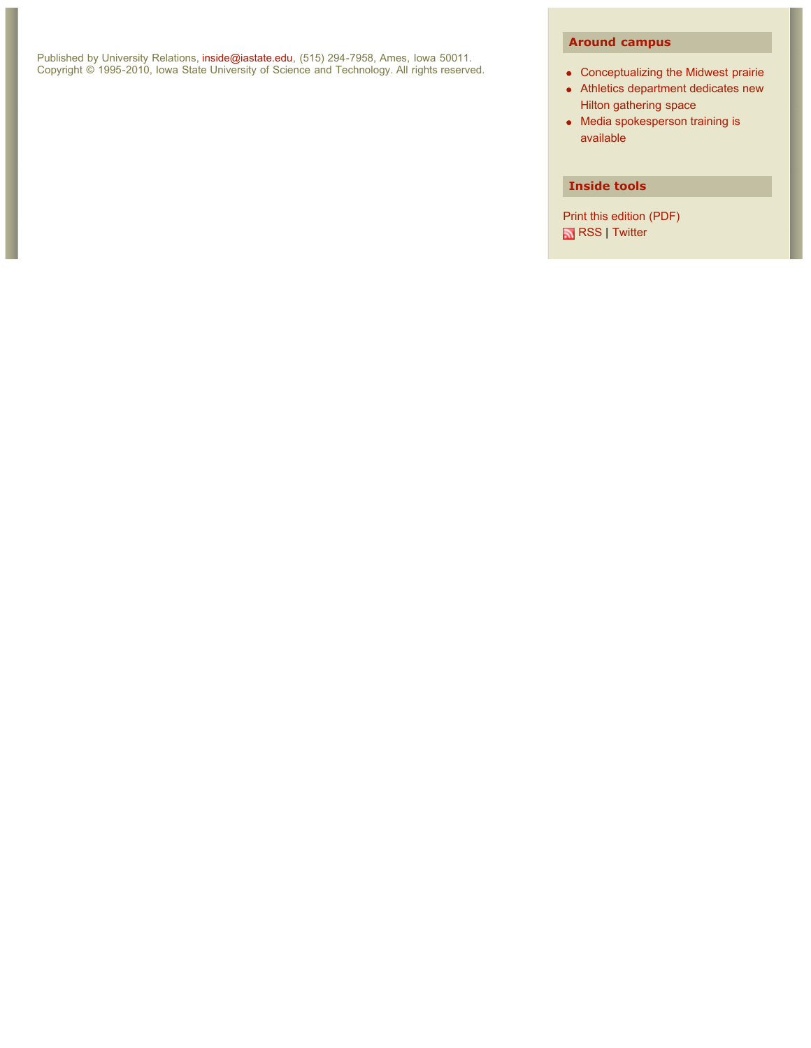Published by University Relations, inside@iastate.edu, (515) 294-7958, Ames, Iowa 50011. Copyright © 1995-2010, Iowa State University of Science and Technology. All rights reserved.

### **Around campus**

- Conceptualizing the Midwest prairie
- Athletics department dedicates new Hilton gathering space
- Media spokesperson training is available

### **Inside tools**

Print this edition (PDF) RSS | Twitter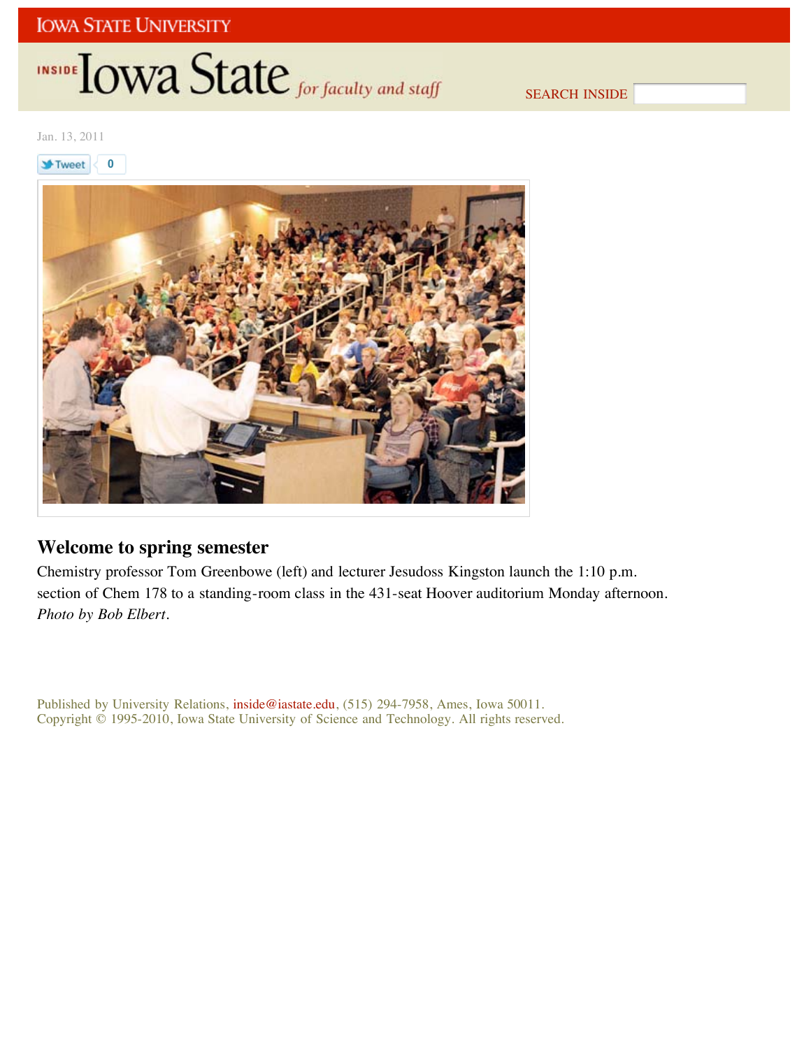# INSIDE **IOWA State** for faculty and staff

SEARCH INSIDE

Jan. 13, 2011

**St**Tweet **0**



## **Welcome to spring semester**

Chemistry professor Tom Greenbowe (left) and lecturer Jesudoss Kingston launch the 1:10 p.m. section of Chem 178 to a standing-room class in the 431-seat Hoover auditorium Monday afternoon. *Photo by Bob Elbert*.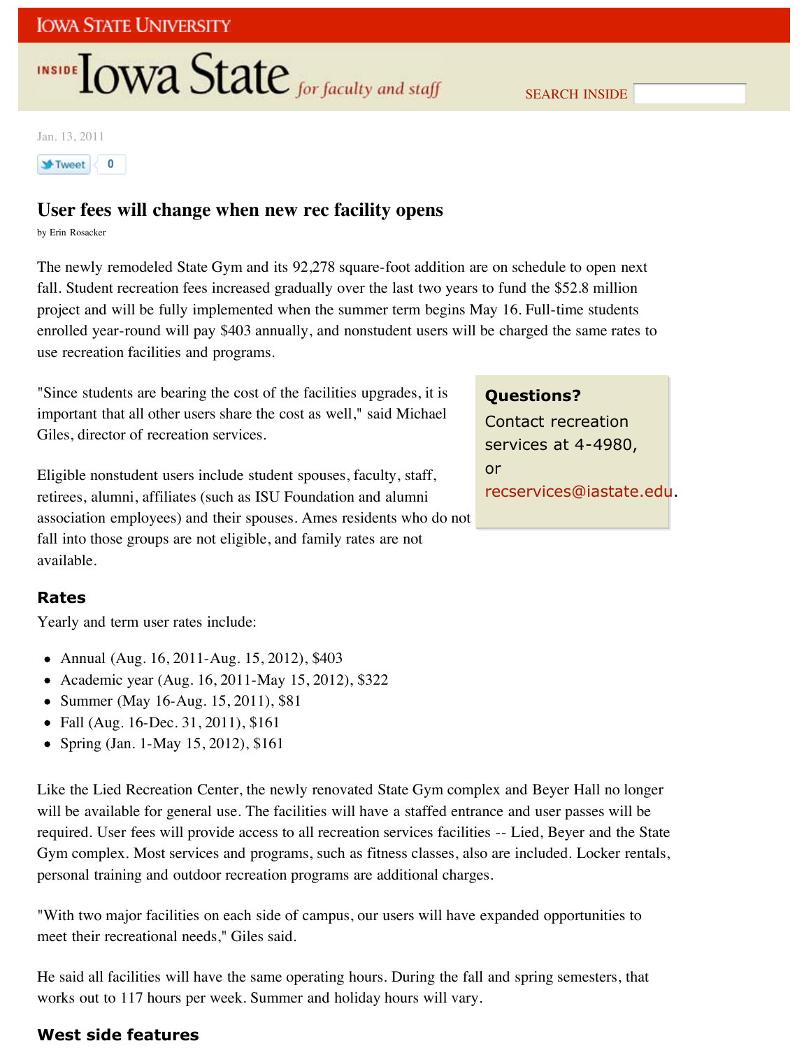# **INSIDE OWA State** for faculty and staff

SEARCH INSIDE

Jan. 13, 2011



# **User fees will change when new rec facility opens**

by Erin Rosacker

The newly remodeled State Gym and its 92,278 square-foot addition are on schedule to open next fall. Student recreation fees increased gradually over the last two years to fund the \$52.8 million project and will be fully implemented when the summer term begins May 16. Full-time students enrolled year-round will pay \$403 annually, and nonstudent users will be charged the same rates to use recreation facilities and programs.

"Since students are bearing the cost of the facilities upgrades, it is important that all other users share the cost as well," said Michael Giles, director of recreation services.

Eligible nonstudent users include student spouses, faculty, staff, retirees, alumni, affiliates (such as ISU Foundation and alumni association employees) and their spouses. Ames residents who do not fall into those groups are not eligible, and family rates are not available.

## **Rates**

Yearly and term user rates include:

- Annual (Aug. 16, 2011-Aug. 15, 2012), \$403
- Academic year (Aug. 16, 2011-May 15, 2012), \$322
- Summer (May 16-Aug. 15, 2011), \$81
- Fall (Aug. 16-Dec. 31, 2011), \$161
- Spring (Jan. 1-May 15, 2012), \$161

Like the Lied Recreation Center, the newly renovated State Gym complex and Beyer Hall no longer will be available for general use. The facilities will have a staffed entrance and user passes will be required. User fees will provide access to all recreation services facilities -- Lied, Beyer and the State Gym complex. Most services and programs, such as fitness classes, also are included. Locker rentals, personal training and outdoor recreation programs are additional charges.

"With two major facilities on each side of campus, our users will have expanded opportunities to meet their recreational needs," Giles said.

He said all facilities will have the same operating hours. During the fall and spring semesters, that works out to 117 hours per week. Summer and holiday hours will vary.

## **West side features**

## **Questions?**

Contact recreation services at 4-4980, or recservices@iastate.edu.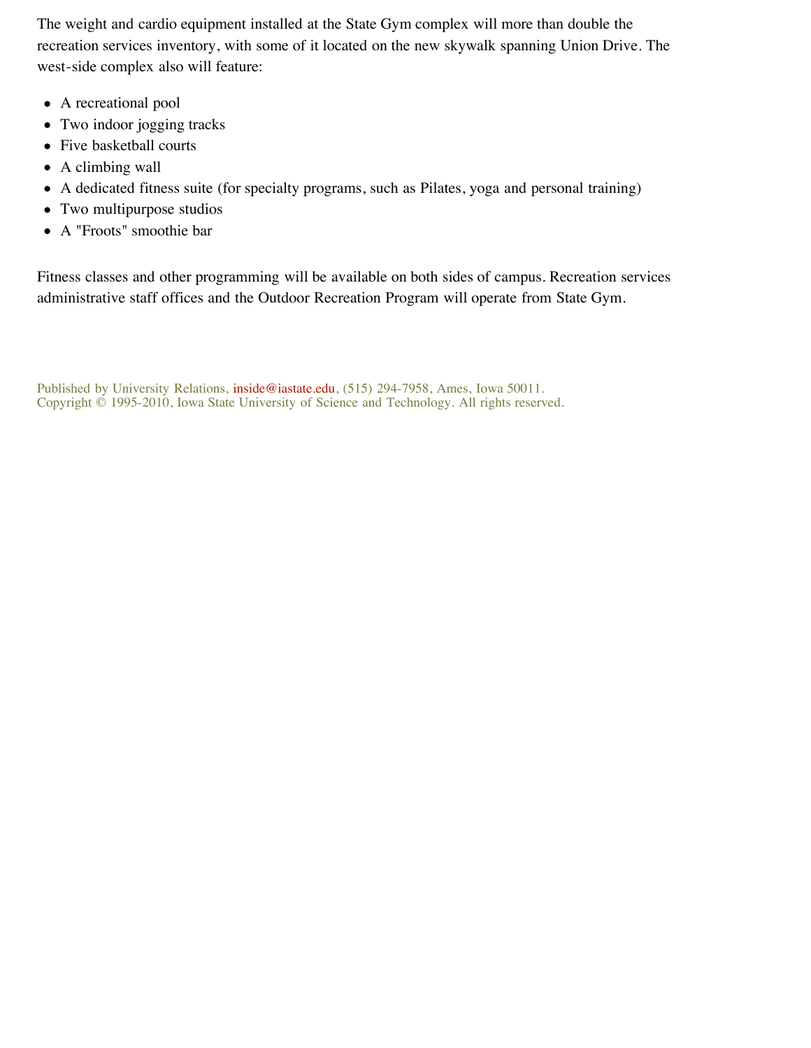The weight and cardio equipment installed at the State Gym complex will more than double the recreation services inventory, with some of it located on the new skywalk spanning Union Drive. The west-side complex also will feature:

- A recreational pool
- Two indoor jogging tracks
- Five basketball courts
- A climbing wall
- A dedicated fitness suite (for specialty programs, such as Pilates, yoga and personal training)
- Two multipurpose studios
- A "Froots" smoothie bar

Fitness classes and other programming will be available on both sides of campus. Recreation services administrative staff offices and the Outdoor Recreation Program will operate from State Gym.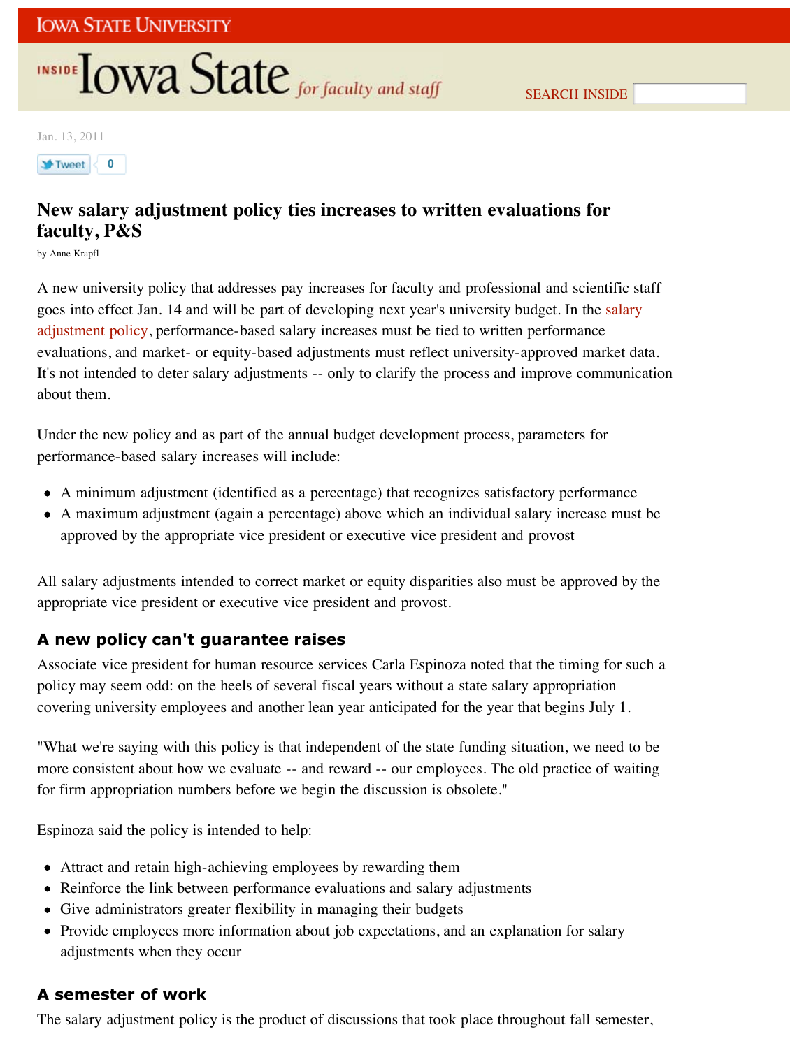# **INSIDE OWA State** for faculty and staff

Jan. 13, 2011



# **New salary adjustment policy ties increases to written evaluations for faculty, P&S**

by Anne Krapfl

A new university policy that addresses pay increases for faculty and professional and scientific staff goes into effect Jan. 14 and will be part of developing next year's university budget. In the salary adjustment policy, performance-based salary increases must be tied to written performance evaluations, and market- or equity-based adjustments must reflect university-approved market data. It's not intended to deter salary adjustments -- only to clarify the process and improve communication about them.

Under the new policy and as part of the annual budget development process, parameters for performance-based salary increases will include:

- A minimum adjustment (identified as a percentage) that recognizes satisfactory performance
- A maximum adjustment (again a percentage) above which an individual salary increase must be approved by the appropriate vice president or executive vice president and provost

All salary adjustments intended to correct market or equity disparities also must be approved by the appropriate vice president or executive vice president and provost.

## **A new policy can't guarantee raises**

Associate vice president for human resource services Carla Espinoza noted that the timing for such a policy may seem odd: on the heels of several fiscal years without a state salary appropriation covering university employees and another lean year anticipated for the year that begins July 1.

"What we're saying with this policy is that independent of the state funding situation, we need to be more consistent about how we evaluate -- and reward -- our employees. The old practice of waiting for firm appropriation numbers before we begin the discussion is obsolete."

Espinoza said the policy is intended to help:

- Attract and retain high-achieving employees by rewarding them
- Reinforce the link between performance evaluations and salary adjustments
- Give administrators greater flexibility in managing their budgets
- Provide employees more information about job expectations, and an explanation for salary adjustments when they occur

## **A semester of work**

The salary adjustment policy is the product of discussions that took place throughout fall semester,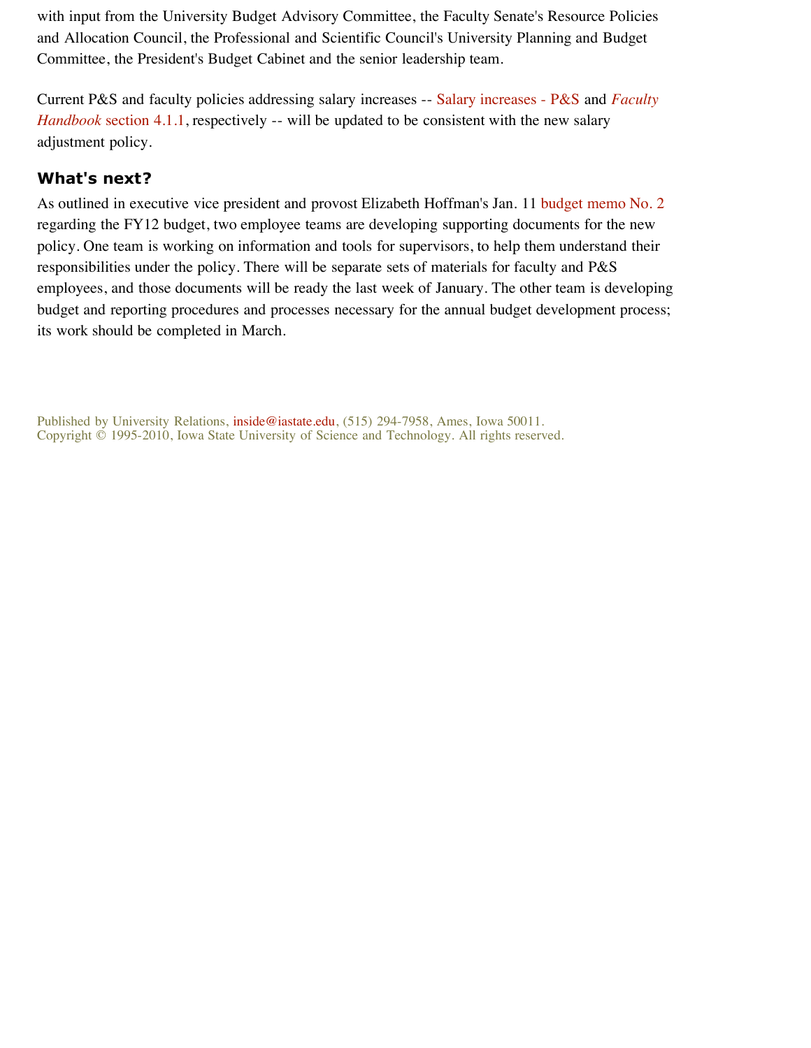with input from the University Budget Advisory Committee, the Faculty Senate's Resource Policies and Allocation Council, the Professional and Scientific Council's University Planning and Budget Committee, the President's Budget Cabinet and the senior leadership team.

Current P&S and faculty policies addressing salary increases -- Salary increases - P&S and *Faculty Handbook* section 4.1.1, respectively -- will be updated to be consistent with the new salary adjustment policy.

## **What's next?**

As outlined in executive vice president and provost Elizabeth Hoffman's Jan. 11 budget memo No. 2 regarding the FY12 budget, two employee teams are developing supporting documents for the new policy. One team is working on information and tools for supervisors, to help them understand their responsibilities under the policy. There will be separate sets of materials for faculty and P&S employees, and those documents will be ready the last week of January. The other team is developing budget and reporting procedures and processes necessary for the annual budget development process; its work should be completed in March.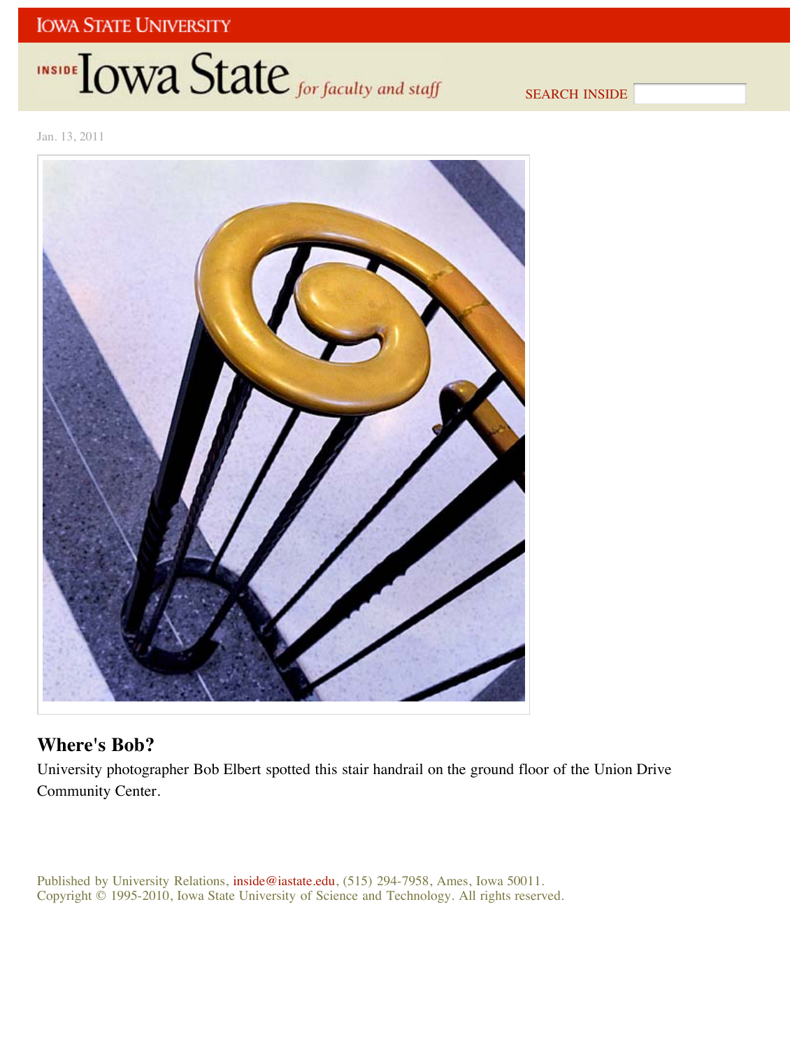# INSIDE LOWA State for faculty and staff

SEARCH INSIDE

Jan. 13, 2011



# **Where's Bob?**

University photographer Bob Elbert spotted this stair handrail on the ground floor of the Union Drive Community Center.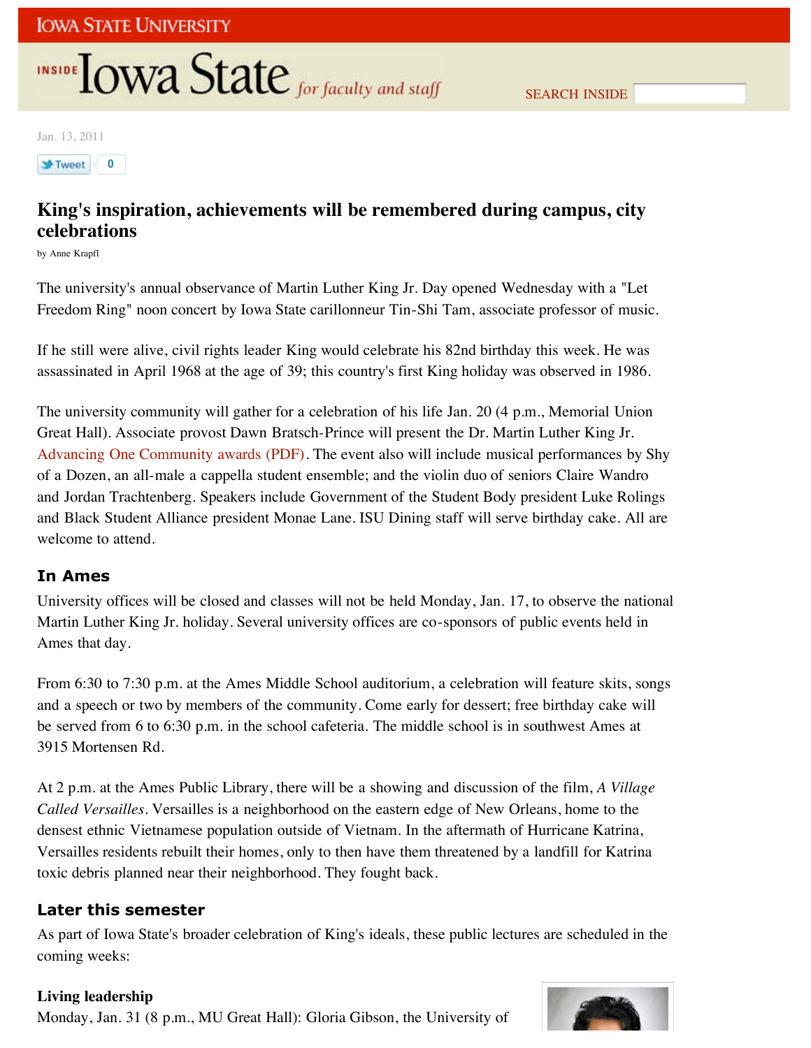# INSIDE **IOWA State** for faculty and staff

Jan. 13, 2011

**1**Weet 0

# **King's inspiration, achievements will be remembered during campus, city celebrations**

by Anne Krapfl

The university's annual observance of Martin Luther King Jr. Day opened Wednesday with a "Let Freedom Ring" noon concert by Iowa State carillonneur Tin-Shi Tam, associate professor of music.

If he still were alive, civil rights leader King would celebrate his 82nd birthday this week. He was assassinated in April 1968 at the age of 39; this country's first King holiday was observed in 1986.

The university community will gather for a celebration of his life Jan. 20 (4 p.m., Memorial Union Great Hall). Associate provost Dawn Bratsch-Prince will present the Dr. Martin Luther King Jr. Advancing One Community awards (PDF). The event also will include musical performances by Shy of a Dozen, an all-male a cappella student ensemble; and the violin duo of seniors Claire Wandro and Jordan Trachtenberg. Speakers include Government of the Student Body president Luke Rolings and Black Student Alliance president Monae Lane. ISU Dining staff will serve birthday cake. All are welcome to attend.

## **In Ames**

University offices will be closed and classes will not be held Monday, Jan. 17, to observe the national Martin Luther King Jr. holiday. Several university offices are co-sponsors of public events held in Ames that day.

From 6:30 to 7:30 p.m. at the Ames Middle School auditorium, a celebration will feature skits, songs and a speech or two by members of the community. Come early for dessert; free birthday cake will be served from 6 to 6:30 p.m. in the school cafeteria. The middle school is in southwest Ames at 3915 Mortensen Rd.

At 2 p.m. at the Ames Public Library, there will be a showing and discussion of the film, *A Village Called Versailles*. Versailles is a neighborhood on the eastern edge of New Orleans, home to the densest ethnic Vietnamese population outside of Vietnam. In the aftermath of Hurricane Katrina, Versailles residents rebuilt their homes, only to then have them threatened by a landfill for Katrina toxic debris planned near their neighborhood. They fought back.

## **Later this semester**

As part of Iowa State's broader celebration of King's ideals, these public lectures are scheduled in the coming weeks:

## **Living leadership**

Monday, Jan. 31 (8 p.m., MU Great Hall): Gloria Gibson, the University of

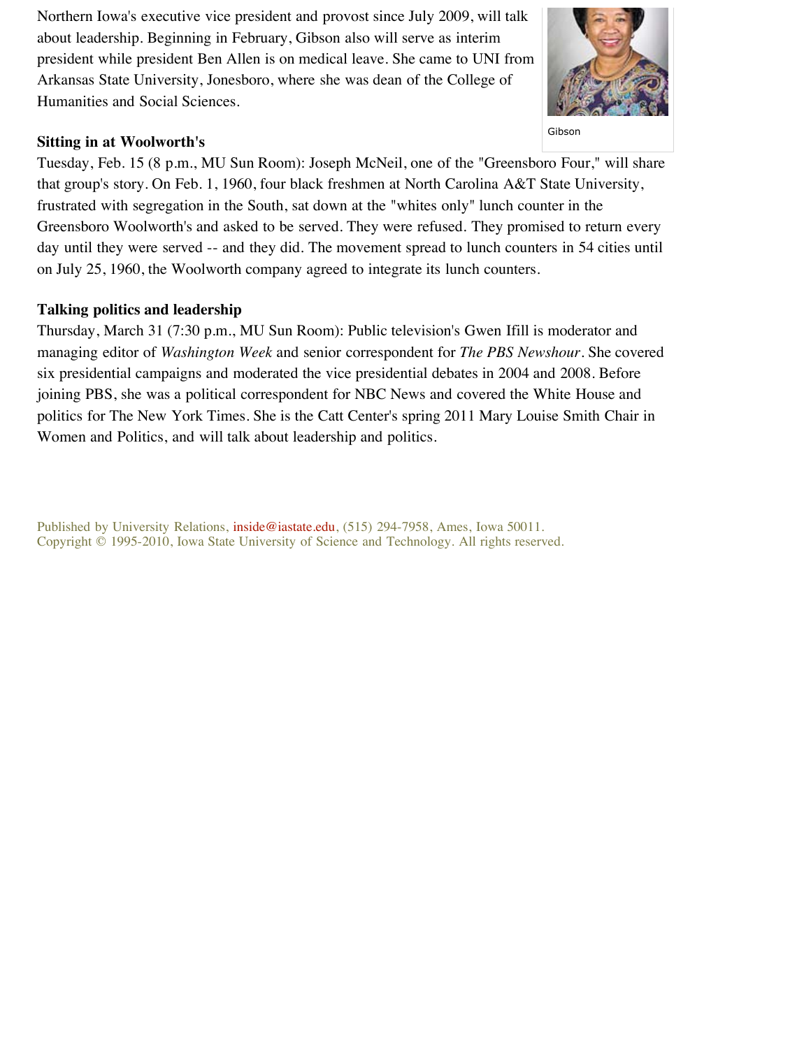Northern Iowa's executive vice president and provost since July 2009, will talk about leadership. Beginning in February, Gibson also will serve as interim president while president Ben Allen is on medical leave. She came to UNI from Arkansas State University, Jonesboro, where she was dean of the College of Humanities and Social Sciences.

## **Sitting in at Woolworth's**

Gibson

Tuesday, Feb. 15 (8 p.m., MU Sun Room): Joseph McNeil, one of the "Greensboro Four," will share that group's story. On Feb. 1, 1960, four black freshmen at North Carolina A&T State University, frustrated with segregation in the South, sat down at the "whites only" lunch counter in the Greensboro Woolworth's and asked to be served. They were refused. They promised to return every day until they were served -- and they did. The movement spread to lunch counters in 54 cities until on July 25, 1960, the Woolworth company agreed to integrate its lunch counters.

## **Talking politics and leadership**

Thursday, March 31 (7:30 p.m., MU Sun Room): Public television's Gwen Ifill is moderator and managing editor of *Washington Week* and senior correspondent for *The PBS Newshour*. She covered six presidential campaigns and moderated the vice presidential debates in 2004 and 2008. Before joining PBS, she was a political correspondent for NBC News and covered the White House and politics for The New York Times. She is the Catt Center's spring 2011 Mary Louise Smith Chair in Women and Politics, and will talk about leadership and politics.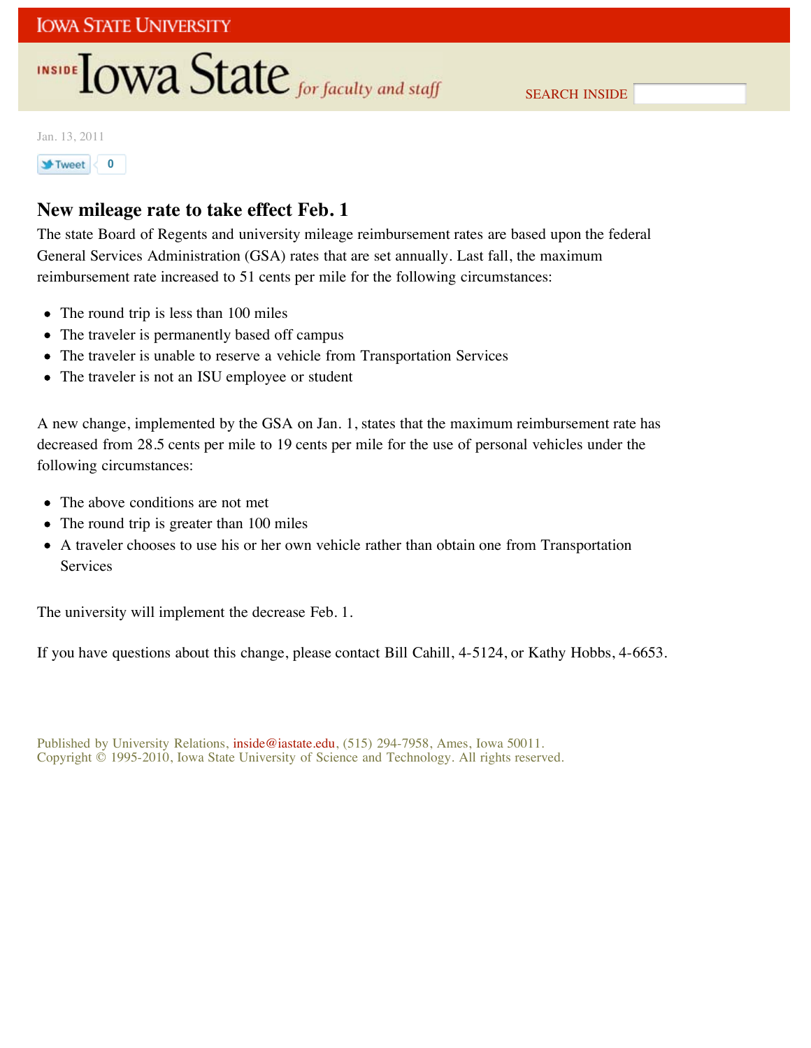# INSIDE **LOWA State** for faculty and staff

SEARCH INSIDE

Jan. 13, 2011



# **New mileage rate to take effect Feb. 1**

The state Board of Regents and university mileage reimbursement rates are based upon the federal General Services Administration (GSA) rates that are set annually. Last fall, the maximum reimbursement rate increased to 51 cents per mile for the following circumstances:

- The round trip is less than 100 miles
- The traveler is permanently based off campus
- The traveler is unable to reserve a vehicle from Transportation Services
- The traveler is not an ISU employee or student

A new change, implemented by the GSA on Jan. 1, states that the maximum reimbursement rate has decreased from 28.5 cents per mile to 19 cents per mile for the use of personal vehicles under the following circumstances:

- The above conditions are not met
- The round trip is greater than 100 miles
- A traveler chooses to use his or her own vehicle rather than obtain one from Transportation Services

The university will implement the decrease Feb. 1.

If you have questions about this change, please contact Bill Cahill, 4-5124, or Kathy Hobbs, 4-6653.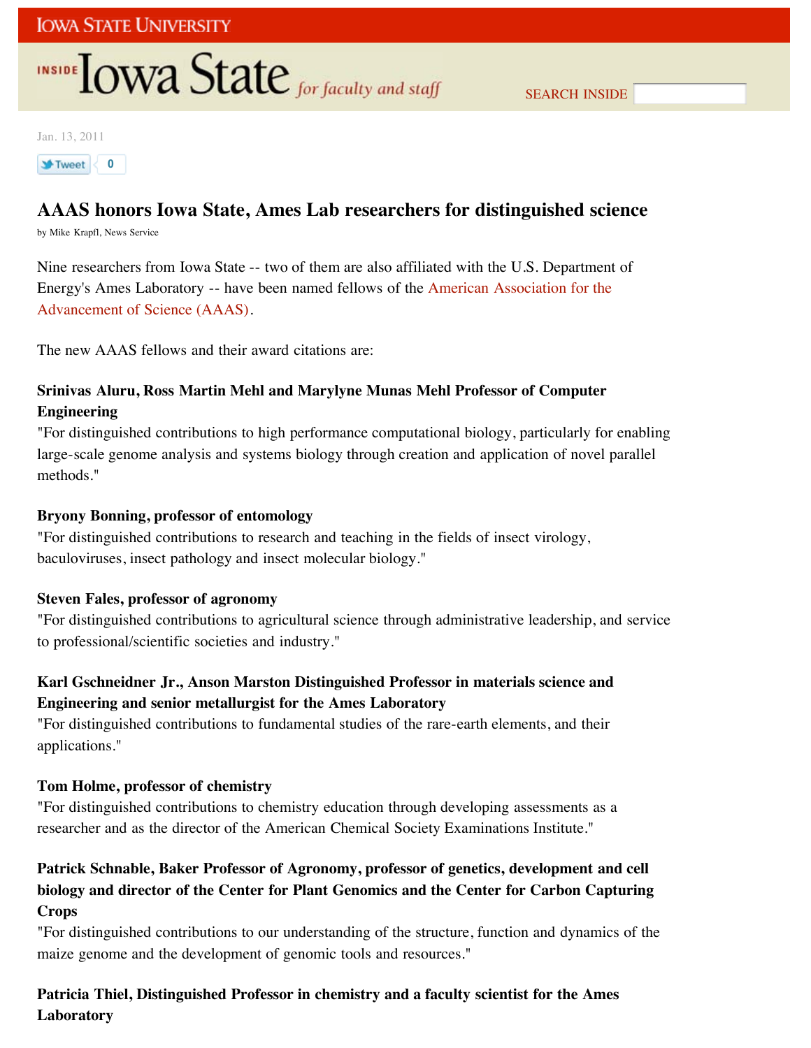# **INSIDE TOWA State** for faculty and staff

Jan. 13, 2011

## **1** Tweet < 0

# **AAAS honors Iowa State, Ames Lab researchers for distinguished science**

by Mike Krapfl, News Service

Nine researchers from Iowa State -- two of them are also affiliated with the U.S. Department of Energy's Ames Laboratory -- have been named fellows of the American Association for the Advancement of Science (AAAS).

The new AAAS fellows and their award citations are:

## **Srinivas Aluru, Ross Martin Mehl and Marylyne Munas Mehl Professor of Computer Engineering**

"For distinguished contributions to high performance computational biology, particularly for enabling large-scale genome analysis and systems biology through creation and application of novel parallel methods."

## **Bryony Bonning, professor of entomology**

"For distinguished contributions to research and teaching in the fields of insect virology, baculoviruses, insect pathology and insect molecular biology."

## **Steven Fales, professor of agronomy**

"For distinguished contributions to agricultural science through administrative leadership, and service to professional/scientific societies and industry."

## **Karl Gschneidner Jr., Anson Marston Distinguished Professor in materials science and Engineering and senior metallurgist for the Ames Laboratory**

"For distinguished contributions to fundamental studies of the rare-earth elements, and their applications."

### **Tom Holme, professor of chemistry**

"For distinguished contributions to chemistry education through developing assessments as a researcher and as the director of the American Chemical Society Examinations Institute."

## **Patrick Schnable, Baker Professor of Agronomy, professor of genetics, development and cell biology and director of the Center for Plant Genomics and the Center for Carbon Capturing Crops**

"For distinguished contributions to our understanding of the structure, function and dynamics of the maize genome and the development of genomic tools and resources."

## **Patricia Thiel, Distinguished Professor in chemistry and a faculty scientist for the Ames Laboratory**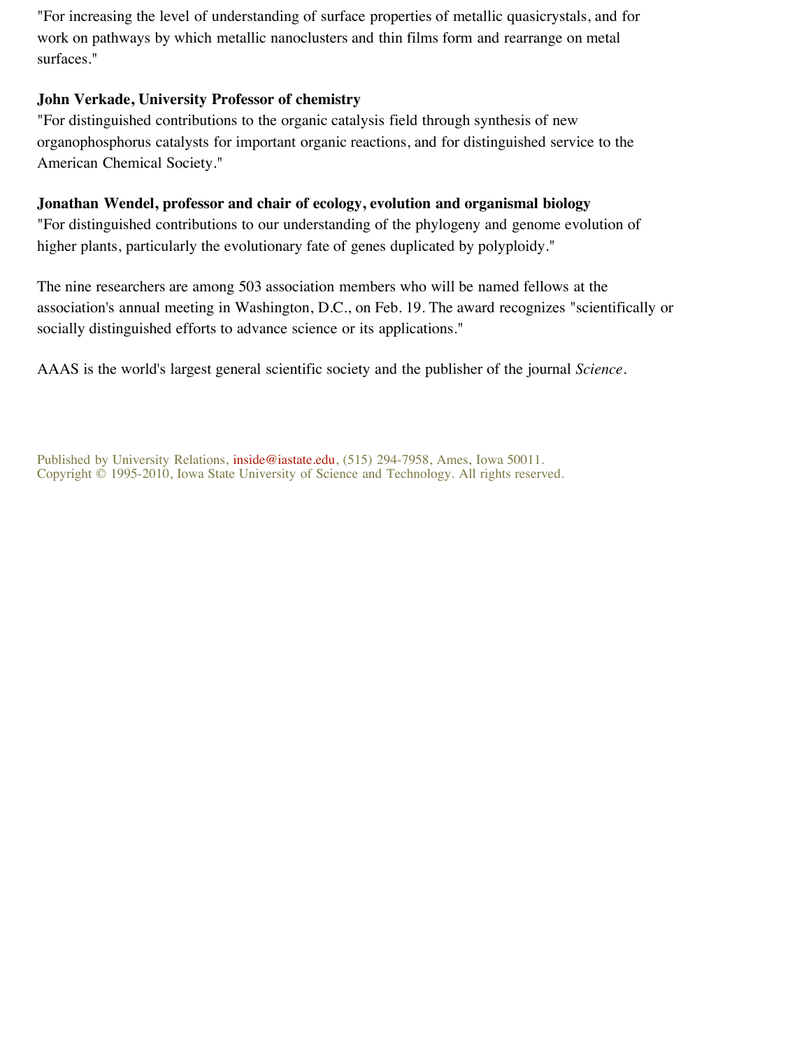"For increasing the level of understanding of surface properties of metallic quasicrystals, and for work on pathways by which metallic nanoclusters and thin films form and rearrange on metal surfaces."

## **John Verkade, University Professor of chemistry**

"For distinguished contributions to the organic catalysis field through synthesis of new organophosphorus catalysts for important organic reactions, and for distinguished service to the American Chemical Society."

## **Jonathan Wendel, professor and chair of ecology, evolution and organismal biology**

"For distinguished contributions to our understanding of the phylogeny and genome evolution of higher plants, particularly the evolutionary fate of genes duplicated by polyploidy."

The nine researchers are among 503 association members who will be named fellows at the association's annual meeting in Washington, D.C., on Feb. 19. The award recognizes "scientifically or socially distinguished efforts to advance science or its applications."

AAAS is the world's largest general scientific society and the publisher of the journal *Science*.